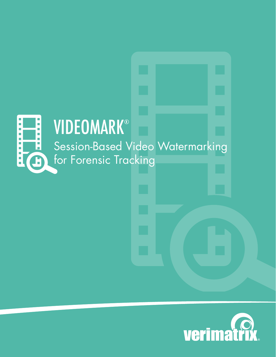#### **VIDEOMARK®** L. r. Session-Based Video Watermarking ×  $\overline{\phantom{a}}$  $\overline{\mathbb{R}^n}$  $\overline{\mathbb{R}}$ for Forensic Trackingi<br>D  $\mathbf{L}$

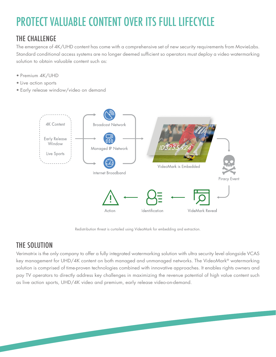# PROTECT VALUABLE CONTENT OVER ITS FULL LIFECYCLE

## THE CHALLENGE

The emergence of 4K/UHD content has come with a comprehensive set of new security requirements from MovieLabs. Standard conditional access systems are no longer deemed sufficient so operators must deploy a video watermarking solution to obtain valuable content such as:

- Premium 4K/UHD
- Live action sports
- Early release window/video on demand



Redistribution threat is curtailed using VideoMark for embedding and extraction.

## THE SOLUTION

Verimatrix is the only company to offer a fully integrated watermarking solution with ultra security level alongside VCAS key management for UHD/4K content on both managed and unmanaged networks. The VideoMark® watermarking solution is comprised of time-proven technologies combined with innovative approaches. It enables rights owners and pay TV operators to directly address key challenges in maximizing the revenue potential of high value content such as live action sports, UHD/4K video and premium, early release video-on-demand.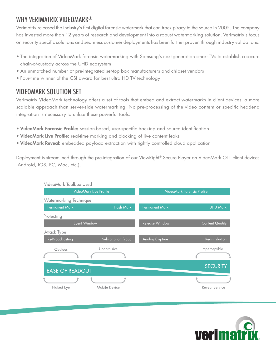## WHY VERIMATRIX VIDEOMARK®

Verimatrix released the industry's first digital forensic watermark that can track piracy to the source in 2005. The company has invested more than 12 years of research and development into a robust watermarking solution. Verimatrix's focus on security specific solutions and seamless customer deployments has been further proven through industry validations:

- The integration of VideoMark forensic watermarking with Samsung's next-generation smart TVs to establish a secure chain-of-custody across the UHD ecosystem
- An unmatched number of pre-integrated set-top box manufacturers and chipset vendors
- Four-time winner of the CSI award for best ultra HD TV technology

## VIDEOMARK SOLUTION SET

Verimatrix VideoMark technology offers a set of tools that embed and extract watermarks in client devices, a more scalable approach than server-side watermarking. No pre-processing of the video content or specific headend integration is necessary to utilize these powerful tools:

- VideoMark Forensic Profile: session-based, user-specific tracking and source identification
- VideoMark Live Profile: real-time marking and blocking of live content leaks
- VideoMark Reveal: embedded payload extraction with tightly controlled cloud application

Deployment is streamlined through the pre-integration of our ViewRight® Secure Player on VideoMark OTT client devices (Android, iOS, PC, Mac, etc.).